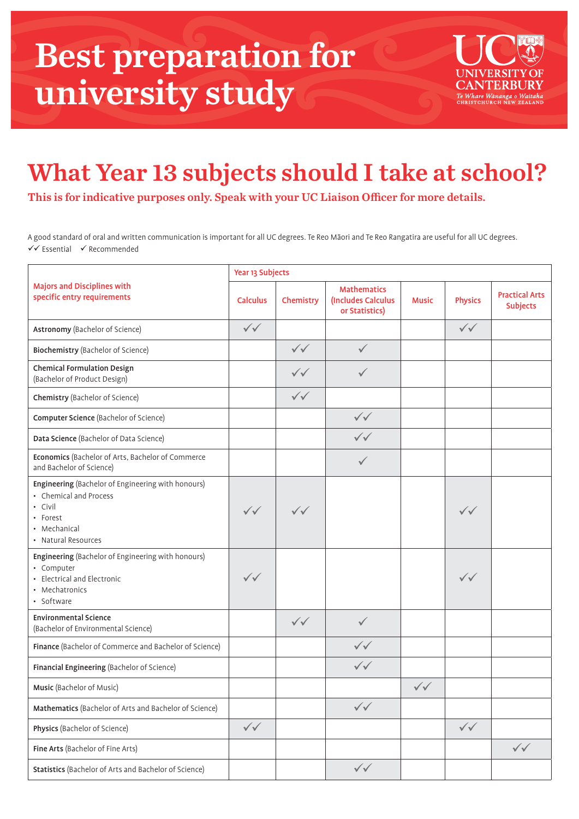## Best preparation for university study



## What Year 13 subjects should I take at school?

This is for indicative purposes only. Speak with your UC Liaison Officer for more details.

A good standard of oral and written communication is important for all UC degrees. Te Reo Māori and Te Reo Rangatira are useful for all UC degrees.  $\checkmark$  Essential  $\checkmark$  Recommended

| <b>Majors and Disciplines with</b><br>specific entry requirements                                                                          | Year 13 Subjects       |                        |                                                            |                        |                        |                                          |  |  |  |
|--------------------------------------------------------------------------------------------------------------------------------------------|------------------------|------------------------|------------------------------------------------------------|------------------------|------------------------|------------------------------------------|--|--|--|
|                                                                                                                                            | <b>Calculus</b>        | Chemistry              | <b>Mathematics</b><br>(Includes Calculus<br>or Statistics) | <b>Music</b>           | <b>Physics</b>         | <b>Practical Arts</b><br><b>Subjects</b> |  |  |  |
| Astronomy (Bachelor of Science)                                                                                                            | $\sqrt{\sqrt{25}}$     |                        |                                                            |                        | $\checkmark\checkmark$ |                                          |  |  |  |
| Biochemistry (Bachelor of Science)                                                                                                         |                        | $\checkmark\checkmark$ | $\checkmark$                                               |                        |                        |                                          |  |  |  |
| <b>Chemical Formulation Design</b><br>(Bachelor of Product Design)                                                                         |                        | $\checkmark\checkmark$ |                                                            |                        |                        |                                          |  |  |  |
| <b>Chemistry (Bachelor of Science)</b>                                                                                                     |                        | $\checkmark\checkmark$ |                                                            |                        |                        |                                          |  |  |  |
| <b>Computer Science</b> (Bachelor of Science)                                                                                              |                        |                        | $\checkmark\checkmark$                                     |                        |                        |                                          |  |  |  |
| Data Science (Bachelor of Data Science)                                                                                                    |                        |                        | $\checkmark\checkmark$                                     |                        |                        |                                          |  |  |  |
| Economics (Bachelor of Arts, Bachelor of Commerce<br>and Bachelor of Science)                                                              |                        |                        | $\checkmark$                                               |                        |                        |                                          |  |  |  |
| Engineering (Bachelor of Engineering with honours)<br>• Chemical and Process<br>• Civil<br>• Forest<br>• Mechanical<br>• Natural Resources | $\checkmark\checkmark$ | $\checkmark\checkmark$ |                                                            |                        | $\checkmark\checkmark$ |                                          |  |  |  |
| Engineering (Bachelor of Engineering with honours)<br>• Computer<br>• Electrical and Electronic<br>• Mechatronics<br>• Software            | $\checkmark\checkmark$ |                        |                                                            |                        | $\checkmark\checkmark$ |                                          |  |  |  |
| <b>Environmental Science</b><br>(Bachelor of Environmental Science)                                                                        |                        | $\checkmark\checkmark$ | $\checkmark$                                               |                        |                        |                                          |  |  |  |
| Finance (Bachelor of Commerce and Bachelor of Science)                                                                                     |                        |                        | $\checkmark\checkmark$                                     |                        |                        |                                          |  |  |  |
| Financial Engineering (Bachelor of Science)                                                                                                |                        |                        | $\checkmark\checkmark$                                     |                        |                        |                                          |  |  |  |
| Music (Bachelor of Music)                                                                                                                  |                        |                        |                                                            | $\checkmark\checkmark$ |                        |                                          |  |  |  |
| Mathematics (Bachelor of Arts and Bachelor of Science)                                                                                     |                        |                        | $\checkmark\checkmark$                                     |                        |                        |                                          |  |  |  |
| Physics (Bachelor of Science)                                                                                                              | $\checkmark\checkmark$ |                        |                                                            |                        | $\checkmark\checkmark$ |                                          |  |  |  |
| Fine Arts (Bachelor of Fine Arts)                                                                                                          |                        |                        |                                                            |                        |                        | $\checkmark\checkmark$                   |  |  |  |
| Statistics (Bachelor of Arts and Bachelor of Science)                                                                                      |                        |                        | $\checkmark\checkmark$                                     |                        |                        |                                          |  |  |  |